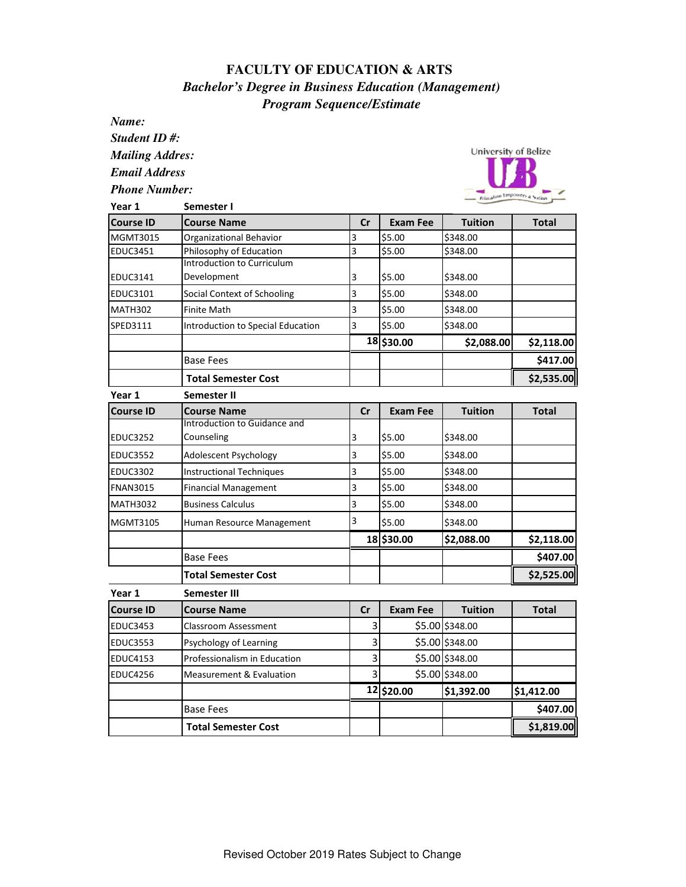## **FACULTY OF EDUCATION & ARTS**  *Bachelor's Degree in Business Education (Management) Program Sequence/Estimate*

*Name:*

*Student ID #:*

*Mailing Addres:*

*Email Address*

*Phone Number:*



| Year 1           | Semester I                          |               |                 |                 |              |  |
|------------------|-------------------------------------|---------------|-----------------|-----------------|--------------|--|
| <b>Course ID</b> | <b>Course Name</b>                  | Cr            | <b>Exam Fee</b> | <b>Tuition</b>  | Total        |  |
| MGMT3015         | Organizational Behavior             | 3             | \$5.00          | \$348.00        |              |  |
| <b>EDUC3451</b>  | Philosophy of Education             | 3             | \$5.00          | \$348.00        |              |  |
|                  | <b>Introduction to Curriculum</b>   |               |                 |                 |              |  |
| EDUC3141         | Development                         | 3             | \$5.00          | \$348.00        |              |  |
| EDUC3101         | Social Context of Schooling         | 3             | \$5.00          | \$348.00        |              |  |
| <b>MATH302</b>   | <b>Finite Math</b>                  | 3             | \$5.00          | \$348.00        |              |  |
| SPED3111         | Introduction to Special Education   | 3             | \$5.00          | \$348.00        |              |  |
|                  |                                     |               | 18 \$30.00      | \$2,088.00      | \$2,118.00   |  |
|                  | <b>Base Fees</b>                    |               |                 |                 | \$417.00     |  |
|                  | <b>Total Semester Cost</b>          |               |                 |                 | \$2,535.00   |  |
| Year 1           | Semester II                         |               |                 |                 |              |  |
| <b>Course ID</b> | <b>Course Name</b>                  | cr            | <b>Exam Fee</b> | <b>Tuition</b>  | <b>Total</b> |  |
|                  | Introduction to Guidance and        |               |                 |                 |              |  |
| <b>EDUC3252</b>  | Counseling                          | 3             | \$5.00          | \$348.00        |              |  |
| <b>EDUC3552</b>  | Adolescent Psychology               | 3             | \$5.00          | \$348.00        |              |  |
| <b>EDUC3302</b>  | <b>Instructional Techniques</b>     | 3             | \$5.00          | \$348.00        |              |  |
| <b>FNAN3015</b>  | <b>Financial Management</b>         | 3             | \$5.00          | \$348.00        |              |  |
| <b>MATH3032</b>  | <b>Business Calculus</b>            | 3             | \$5.00          | \$348.00        |              |  |
| MGMT3105         | Human Resource Management           | 3             | \$5.00          | \$348.00        |              |  |
|                  |                                     |               | 18 \$30.00      | \$2,088.00      | \$2,118.00   |  |
|                  | <b>Base Fees</b>                    |               |                 |                 | \$407.00     |  |
|                  | <b>Total Semester Cost</b>          |               |                 |                 | \$2,525.00   |  |
| Year 1           | Semester III                        |               |                 |                 |              |  |
| <b>Course ID</b> | <b>Course Name</b>                  | $\mathsf{Cr}$ | <b>Exam Fee</b> | <b>Tuition</b>  | Total        |  |
| <b>EDUC3453</b>  | <b>Classroom Assessment</b>         | 3             |                 | \$5.00 \$348.00 |              |  |
| <b>EDUC3553</b>  | Psychology of Learning              | 3             |                 | \$5.00 \$348.00 |              |  |
| <b>EDUC4153</b>  | Professionalism in Education        | 3             |                 | \$5.00 \$348.00 |              |  |
| <b>EDUC4256</b>  | <b>Measurement &amp; Evaluation</b> | 3             |                 | \$5.00 \$348.00 |              |  |
|                  |                                     |               | 12 \$20.00      | \$1,392.00      | \$1,412.00   |  |
|                  | <b>Base Fees</b>                    |               |                 |                 | \$407.00     |  |
|                  | <b>Total Semester Cost</b>          |               |                 |                 | \$1,819.00   |  |